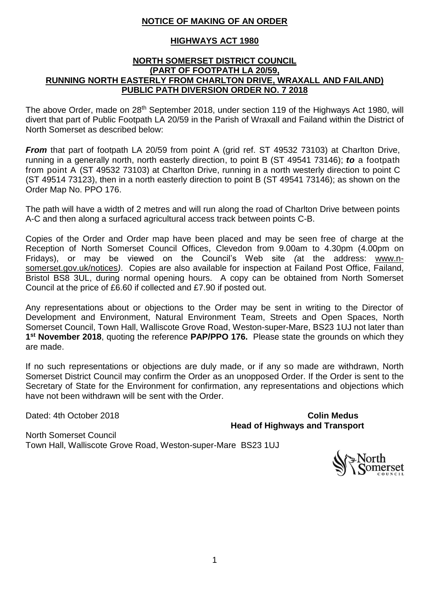# **NOTICE OF MAKING OF AN ORDER**

# **HIGHWAYS ACT 1980**

#### **NORTH SOMERSET DISTRICT COUNCIL (PART OF FOOTPATH LA 20/59, RUNNING NORTH EASTERLY FROM CHARLTON DRIVE, WRAXALL AND FAILAND) PUBLIC PATH DIVERSION ORDER NO. 7 2018**

The above Order, made on 28<sup>th</sup> September 2018, under section 119 of the Highways Act 1980, will divert that part of Public Footpath LA 20/59 in the Parish of Wraxall and Failand within the District of North Somerset as described below:

*From* that part of footpath LA 20/59 from point A (grid ref. ST 49532 73103) at Charlton Drive, running in a generally north, north easterly direction, to point B (ST 49541 73146); *to* a footpath from point A (ST 49532 73103) at Charlton Drive, running in a north westerly direction to point C (ST 49514 73123), then in a north easterly direction to point B (ST 49541 73146); as shown on the Order Map No. PPO 176.

The path will have a width of 2 metres and will run along the road of Charlton Drive between points A-C and then along a surfaced agricultural access track between points C-B.

Copies of the Order and Order map have been placed and may be seen free of charge at the Reception of North Somerset Council Offices, Clevedon from 9.00am to 4.30pm (4.00pm on Fridays), or may be viewed on the Council's Web site *(*at the address: [www.n](../../../PPO%20139%20-%20Purn%20House%20Farm,%20Bleadon/2.%20Order/3.%20Notices/www.n-somerset.gov.uk/notices)[somerset.gov.uk/notices](../../../PPO%20139%20-%20Purn%20House%20Farm,%20Bleadon/2.%20Order/3.%20Notices/www.n-somerset.gov.uk/notices)*)*. Copies are also available for inspection at Failand Post Office, Failand, Bristol BS8 3UL, during normal opening hours. A copy can be obtained from North Somerset Council at the price of £6.60 if collected and £7.90 if posted out.

Any representations about or objections to the Order may be sent in writing to the Director of Development and Environment, Natural Environment Team, Streets and Open Spaces, North Somerset Council, Town Hall, Walliscote Grove Road, Weston-super-Mare, BS23 1UJ not later than **1 st November 2018**, quoting the reference **PAP/PPO 176.** Please state the grounds on which they are made.

If no such representations or objections are duly made, or if any so made are withdrawn, North Somerset District Council may confirm the Order as an unopposed Order. If the Order is sent to the Secretary of State for the Environment for confirmation, any representations and objections which have not been withdrawn will be sent with the Order.

Dated: 4th October 2018 **Colin Medus Head of Highways and Transport**

North Somerset Council Town Hall, Walliscote Grove Road, Weston-super-Mare BS23 1UJ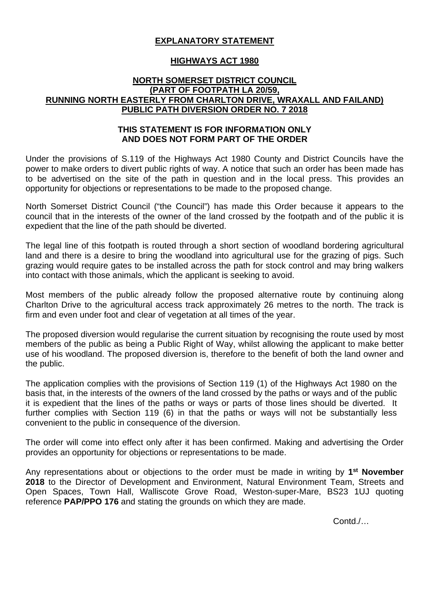# **EXPLANATORY STATEMENT**

### **HIGHWAYS ACT 1980**

#### **NORTH SOMERSET DISTRICT COUNCIL (PART OF FOOTPATH LA 20/59, RUNNING NORTH EASTERLY FROM CHARLTON DRIVE, WRAXALL AND FAILAND) PUBLIC PATH DIVERSION ORDER NO. 7 2018**

### **THIS STATEMENT IS FOR INFORMATION ONLY AND DOES NOT FORM PART OF THE ORDER**

Under the provisions of S.119 of the Highways Act 1980 County and District Councils have the power to make orders to divert public rights of way. A notice that such an order has been made has to be advertised on the site of the path in question and in the local press. This provides an opportunity for objections or representations to be made to the proposed change.

North Somerset District Council ("the Council") has made this Order because it appears to the council that in the interests of the owner of the land crossed by the footpath and of the public it is expedient that the line of the path should be diverted.

The legal line of this footpath is routed through a short section of woodland bordering agricultural land and there is a desire to bring the woodland into agricultural use for the grazing of pigs. Such grazing would require gates to be installed across the path for stock control and may bring walkers into contact with those animals, which the applicant is seeking to avoid.

Most members of the public already follow the proposed alternative route by continuing along Charlton Drive to the agricultural access track approximately 26 metres to the north. The track is firm and even under foot and clear of vegetation at all times of the year.

The proposed diversion would regularise the current situation by recognising the route used by most members of the public as being a Public Right of Way, whilst allowing the applicant to make better use of his woodland. The proposed diversion is, therefore to the benefit of both the land owner and the public.

The application complies with the provisions of Section 119 (1) of the Highways Act 1980 on the basis that, in the interests of the owners of the land crossed by the paths or ways and of the public it is expedient that the lines of the paths or ways or parts of those lines should be diverted. It further complies with Section 119 (6) in that the paths or ways will not be substantially less convenient to the public in consequence of the diversion.

The order will come into effect only after it has been confirmed. Making and advertising the Order provides an opportunity for objections or representations to be made.

Any representations about or objections to the order must be made in writing by **1st November 2018** to the Director of Development and Environment, Natural Environment Team, Streets and Open Spaces, Town Hall, Walliscote Grove Road, Weston-super-Mare, BS23 1UJ quoting reference **PAP/PPO 176** and stating the grounds on which they are made.

Contd /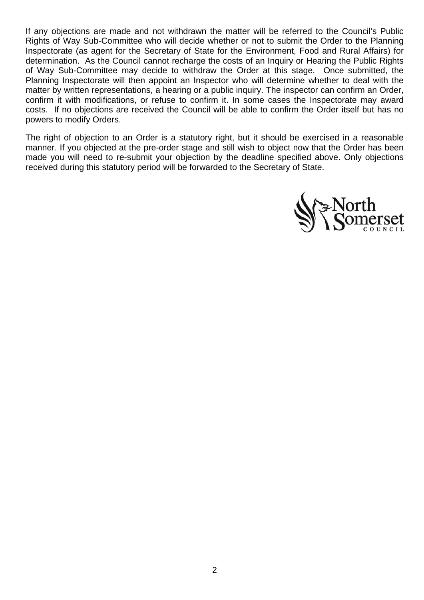If any objections are made and not withdrawn the matter will be referred to the Council's Public Rights of Way Sub-Committee who will decide whether or not to submit the Order to the Planning Inspectorate (as agent for the Secretary of State for the Environment, Food and Rural Affairs) for determination. As the Council cannot recharge the costs of an Inquiry or Hearing the Public Rights of Way Sub-Committee may decide to withdraw the Order at this stage. Once submitted, the Planning Inspectorate will then appoint an Inspector who will determine whether to deal with the matter by written representations, a hearing or a public inquiry. The inspector can confirm an Order, confirm it with modifications, or refuse to confirm it. In some cases the Inspectorate may award costs. If no objections are received the Council will be able to confirm the Order itself but has no powers to modify Orders.

The right of objection to an Order is a statutory right, but it should be exercised in a reasonable manner. If you objected at the pre-order stage and still wish to object now that the Order has been made you will need to re-submit your objection by the deadline specified above. Only objections received during this statutory period will be forwarded to the Secretary of State.

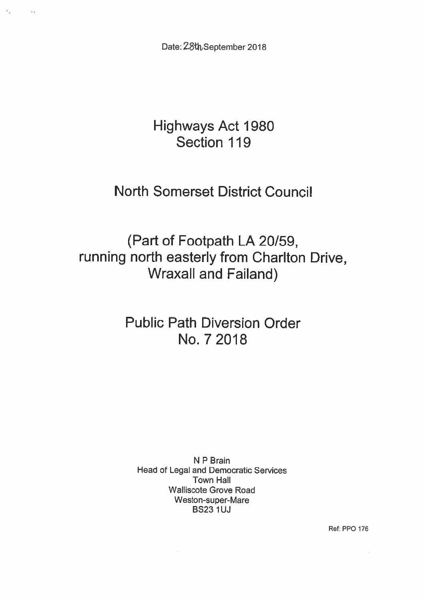Date: 28th September 2018

 $\sigma_{\rm eff}$ 

 $\sim$ 

# **Highways Act 1980** Section 119

# **North Somerset District Council**

(Part of Footpath LA 20/59, running north easterly from Charlton Drive, **Wraxall and Failand)** 

# **Public Path Diversion Order** No. 7 2018

N P Brain **Head of Legal and Democratic Services Town Hall Walliscote Grove Road** Weston-super-Mare **BS23 1UJ** 

Ref: PPO 176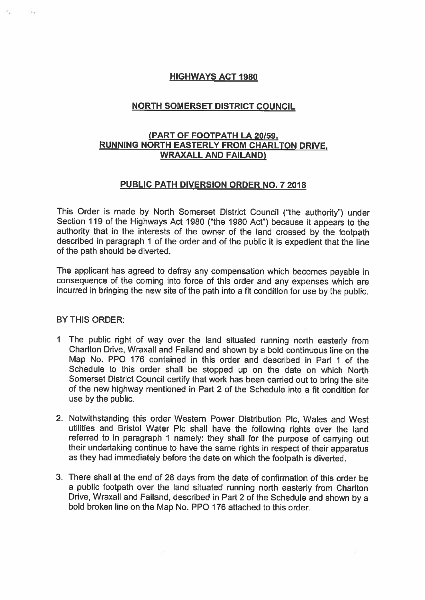# **HIGHWAYS ACT 1980**

# **NORTH SOMERSET DISTRICT COUNCIL**

# (PART OF FOOTPATH LA 20/59, **RUNNING NORTH EASTERLY FROM CHARLTON DRIVE. WRAXALL AND FAILAND)**

#### **PUBLIC PATH DIVERSION ORDER NO. 7 2018**

This Order is made by North Somerset District Council ("the authority") under Section 119 of the Highways Act 1980 ("the 1980 Act") because it appears to the authority that in the interests of the owner of the land crossed by the footpath described in paragraph 1 of the order and of the public it is expedient that the line of the path should be diverted.

The applicant has agreed to defray any compensation which becomes payable in consequence of the coming into force of this order and any expenses which are incurred in bringing the new site of the path into a fit condition for use by the public.

#### **BY THIS ORDER:**

- 1 The public right of way over the land situated running north easterly from Charlton Drive, Wraxall and Failand and shown by a bold continuous line on the Map No. PPO 176 contained in this order and described in Part 1 of the Schedule to this order shall be stopped up on the date on which North Somerset District Council certify that work has been carried out to bring the site of the new highway mentioned in Part 2 of the Schedule into a fit condition for use by the public.
- 2. Notwithstanding this order Western Power Distribution Plc, Wales and West utilities and Bristol Water Plc shall have the following rights over the land referred to in paragraph 1 namely: they shall for the purpose of carrying out their undertaking continue to have the same rights in respect of their apparatus as they had immediately before the date on which the footpath is diverted.
- 3. There shall at the end of 28 days from the date of confirmation of this order be a public footpath over the land situated running north easterly from Charlton Drive, Wraxall and Failand, described in Part 2 of the Schedule and shown by a bold broken line on the Map No. PPO 176 attached to this order.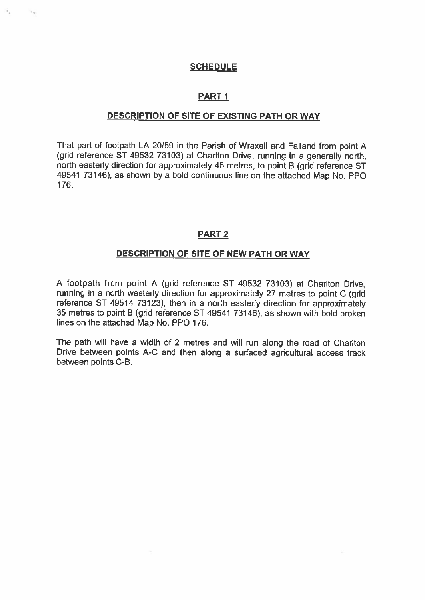#### **SCHEDULE**

# **PART1**

#### DESCRIPTION OF SITE OF EXISTING PATH OR WAY

That part of footpath LA 20/59 in the Parish of Wraxall and Failand from point A (grid reference ST 49532 73103) at Charlton Drive, running in a generally north. north easterly direction for approximately 45 metres, to point B (grid reference ST 49541 73146), as shown by a bold continuous line on the attached Map No. PPO 176.

#### **PART 2**

#### **DESCRIPTION OF SITE OF NEW PATH OR WAY**

A footpath from point A (grid reference ST 49532 73103) at Charlton Drive. running in a north westerly direction for approximately 27 metres to point C (grid reference ST 49514 73123), then in a north easterly direction for approximately 35 metres to point B (grid reference ST 49541 73146), as shown with bold broken lines on the attached Map No. PPO 176.

The path will have a width of 2 metres and will run along the road of Charlton Drive between points A-C and then along a surfaced agricultural access track between points C-B.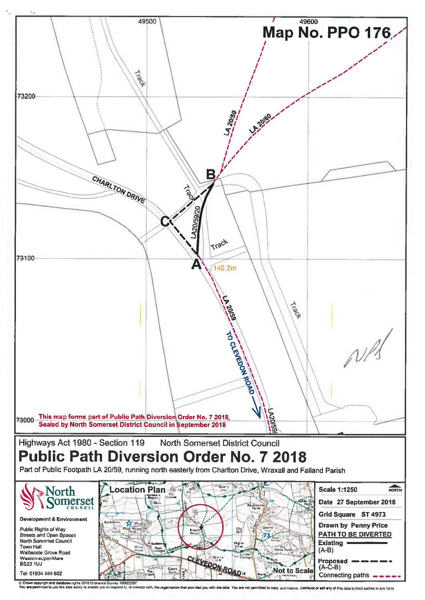

Crown copyright and database rights 2018 Ord<br>You are permitted to use this data solely to enabl Jrdnance Survey 100023397,<br>able you to respond to, or inte provided you with the data d to copy, sub-licence, distribute or sell any of this data to third parties in any form. You are not p